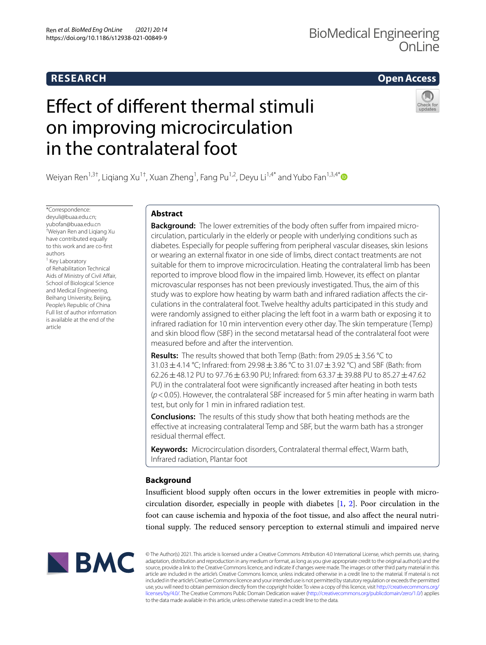## **RESEARCH**

## Ren et al. BioMed Eng OnLine (2021) 20:14<br>https://doi.org/10.1186/s12938-021-00849-9 BioMedical Engineering Onl ine

**Open Access**

# Efect of diferent thermal stimuli on improving microcirculation in the contralateral foot



Weiyan Ren<sup>1,3†</sup>, Liqiang Xu<sup>1†</sup>, Xuan Zheng<sup>1</sup>, Fang Pu<sup>1,2</sup>, Deyu Li<sup>1,4[\\*](http://orcid.org/0000-0002-3480-4395)</sup> and Yubo Fan<sup>1,3,4\*</sup>

\*Correspondence: deyuli@buaa.edu.cn; yubofan@buaa.edu.cn † Weiyan Ren and Liqiang Xu have contributed equally to this work and are co-frst authors <sup>1</sup> Key Laboratory of Rehabilitation Technical Aids of Ministry of Civil Afair, School of Biological Science and Medical Engineering, Beihang University, Beijing, People's Republic of China Full list of author information is available at the end of the article

## **Abstract**

**Background:** The lower extremities of the body often suffer from impaired microcirculation, particularly in the elderly or people with underlying conditions such as diabetes. Especially for people suffering from peripheral vascular diseases, skin lesions or wearing an external fxator in one side of limbs, direct contact treatments are not suitable for them to improve microcirculation. Heating the contralateral limb has been reported to improve blood fow in the impaired limb. However, its efect on plantar microvascular responses has not been previously investigated. Thus, the aim of this study was to explore how heating by warm bath and infrared radiation afects the circulations in the contralateral foot. Twelve healthy adults participated in this study and were randomly assigned to either placing the left foot in a warm bath or exposing it to infrared radiation for 10 min intervention every other day. The skin temperature (Temp) and skin blood fow (SBF) in the second metatarsal head of the contralateral foot were measured before and after the intervention.

**Results:** The results showed that both Temp (Bath: from 29.05 ± 3.56 ℃ to 31.03  $\pm$  4.14 °C; Infrared: from 29.98  $\pm$  3.86 °C to 31.07  $\pm$  3.92 °C) and SBF (Bath: from 62.26±48.12 PU to 97.76±63.90 PU; Infrared: from 63.37±39.88 PU to 85.27±47.62 PU) in the contralateral foot were signifcantly increased after heating in both tests (*p*<0.05). However, the contralateral SBF increased for 5 min after heating in warm bath test, but only for 1 min in infrared radiation test.

**Conclusions:** The results of this study show that both heating methods are the efective at increasing contralateral Temp and SBF, but the warm bath has a stronger residual thermal efect.

Keywords: Microcirculation disorders, Contralateral thermal effect, Warm bath, Infrared radiation, Plantar foot

## **Background**

Insufficient blood supply often occurs in the lower extremities in people with microcirculation disorder, especially in people with diabetes [\[1](#page-8-0), [2](#page-8-1)]. Poor circulation in the foot can cause ischemia and hypoxia of the foot tissue, and also afect the neural nutritional supply. The reduced sensory perception to external stimuli and impaired nerve



© The Author(s) 2021. This article is licensed under a Creative Commons Attribution 4.0 International License, which permits use, sharing, adaptation, distribution and reproduction in any medium or format, as long as you give appropriate credit to the original author(s) and the source, provide a link to the Creative Commons licence, and indicate if changes were made. The images or other third party material in this article are included in the article's Creative Commons licence, unless indicated otherwise in a credit line to the material. If material is not included in the article's Creative Commons licence and your intended use is not permitted by statutory regulation or exceeds the permitted use, you will need to obtain permission directly from the copyright holder. To view a copy of this licence, visit [http://creativecommons.org/](http://creativecommons.org/licenses/by/4.0/) [licenses/by/4.0/.](http://creativecommons.org/licenses/by/4.0/) The Creative Commons Public Domain Dedication waiver [\(http://creativecommons.org/publicdomain/zero/1.0/\)](http://creativecommons.org/publicdomain/zero/1.0/) applies to the data made available in this article, unless otherwise stated in a credit line to the data.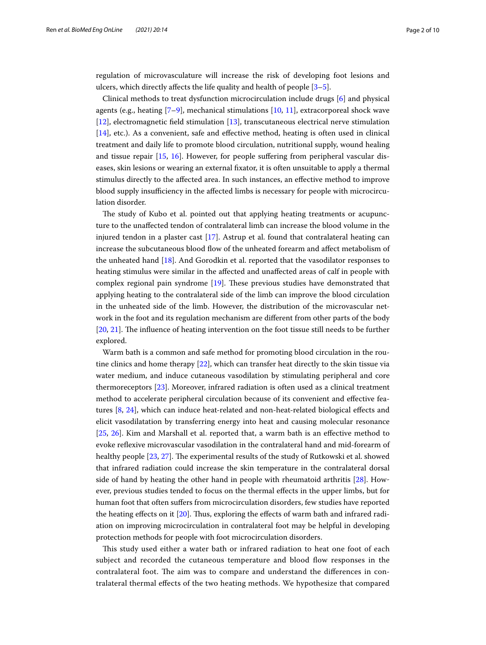regulation of microvasculature will increase the risk of developing foot lesions and ulcers, which directly affects the life quality and health of people  $[3-5]$  $[3-5]$  $[3-5]$ .

Clinical methods to treat dysfunction microcirculation include drugs [[6\]](#page-8-4) and physical agents (e.g., heating  $[7-9]$  $[7-9]$ , mechanical stimulations  $[10, 11]$  $[10, 11]$  $[10, 11]$ , extracorporeal shock wave [[12\]](#page-8-9), electromagnetic feld stimulation [\[13\]](#page-8-10), transcutaneous electrical nerve stimulation [[14\]](#page-8-11), etc.). As a convenient, safe and efective method, heating is often used in clinical treatment and daily life to promote blood circulation, nutritional supply, wound healing and tissue repair [\[15,](#page-8-12) [16](#page-8-13)]. However, for people sufering from peripheral vascular diseases, skin lesions or wearing an external fxator, it is often unsuitable to apply a thermal stimulus directly to the afected area. In such instances, an efective method to improve blood supply insufficiency in the affected limbs is necessary for people with microcirculation disorder.

The study of Kubo et al. pointed out that applying heating treatments or acupuncture to the unafected tendon of contralateral limb can increase the blood volume in the injured tendon in a plaster cast [[17](#page-8-14)]. Astrup et al. found that contralateral heating can increase the subcutaneous blood flow of the unheated forearm and affect metabolism of the unheated hand [\[18\]](#page-8-15). And Gorodkin et al. reported that the vasodilator responses to heating stimulus were similar in the afected and unafected areas of calf in people with complex regional pain syndrome  $[19]$  $[19]$  $[19]$ . These previous studies have demonstrated that applying heating to the contralateral side of the limb can improve the blood circulation in the unheated side of the limb. However, the distribution of the microvascular network in the foot and its regulation mechanism are diferent from other parts of the body  $[20, 21]$  $[20, 21]$  $[20, 21]$  $[20, 21]$ . The influence of heating intervention on the foot tissue still needs to be further explored.

Warm bath is a common and safe method for promoting blood circulation in the routine clinics and home therapy [[22](#page-8-19)], which can transfer heat directly to the skin tissue via water medium, and induce cutaneous vasodilation by stimulating peripheral and core thermoreceptors [\[23](#page-8-20)]. Moreover, infrared radiation is often used as a clinical treatment method to accelerate peripheral circulation because of its convenient and efective features [\[8](#page-8-21), [24](#page-8-22)], which can induce heat-related and non-heat-related biological efects and elicit vasodilatation by transferring energy into heat and causing molecular resonance [[25,](#page-8-23) [26](#page-8-24)]. Kim and Marshall et al. reported that, a warm bath is an efective method to evoke refexive microvascular vasodilation in the contralateral hand and mid-forearm of healthy people [[23,](#page-8-20) [27](#page-8-25)]. The experimental results of the study of Rutkowski et al. showed that infrared radiation could increase the skin temperature in the contralateral dorsal side of hand by heating the other hand in people with rheumatoid arthritis [\[28\]](#page-8-26). However, previous studies tended to focus on the thermal efects in the upper limbs, but for human foot that often sufers from microcirculation disorders, few studies have reported the heating efects on it [\[20](#page-8-17)]. Tus, exploring the efects of warm bath and infrared radiation on improving microcirculation in contralateral foot may be helpful in developing protection methods for people with foot microcirculation disorders.

This study used either a water bath or infrared radiation to heat one foot of each subject and recorded the cutaneous temperature and blood flow responses in the contralateral foot. The aim was to compare and understand the differences in contralateral thermal efects of the two heating methods. We hypothesize that compared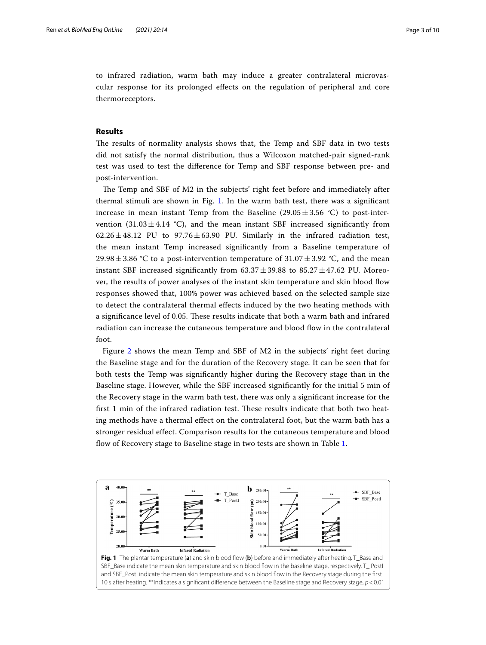to infrared radiation, warm bath may induce a greater contralateral microvascular response for its prolonged efects on the regulation of peripheral and core thermoreceptors.

## **Results**

The results of normality analysis shows that, the Temp and SBF data in two tests did not satisfy the normal distribution, thus a Wilcoxon matched-pair signed-rank test was used to test the diference for Temp and SBF response between pre- and post-intervention.

The Temp and SBF of M2 in the subjects' right feet before and immediately after thermal stimuli are shown in Fig. [1](#page-2-0). In the warm bath test, there was a signifcant increase in mean instant Temp from the Baseline (29.05 $\pm$ 3.56 °C) to post-intervention  $(31.03 \pm 4.14 \degree C)$ , and the mean instant SBF increased significantly from  $62.26 \pm 48.12$  PU to  $97.76 \pm 63.90$  PU. Similarly in the infrared radiation test, the mean instant Temp increased signifcantly from a Baseline temperature of 29.98 $\pm$ 3.86 °C to a post-intervention temperature of 31.07 $\pm$ 3.92 °C, and the mean instant SBF increased significantly from  $63.37 \pm 39.88$  to  $85.27 \pm 47.62$  PU. Moreover, the results of power analyses of the instant skin temperature and skin blood fow responses showed that, 100% power was achieved based on the selected sample size to detect the contralateral thermal efects induced by the two heating methods with a signifcance level of 0.05. Tese results indicate that both a warm bath and infrared radiation can increase the cutaneous temperature and blood fow in the contralateral foot.

Figure [2](#page-3-0) shows the mean Temp and SBF of M2 in the subjects' right feet during the Baseline stage and for the duration of the Recovery stage. It can be seen that for both tests the Temp was signifcantly higher during the Recovery stage than in the Baseline stage. However, while the SBF increased signifcantly for the initial 5 min of the Recovery stage in the warm bath test, there was only a signifcant increase for the first 1 min of the infrared radiation test. These results indicate that both two heating methods have a thermal efect on the contralateral foot, but the warm bath has a stronger residual efect. Comparison results for the cutaneous temperature and blood flow of Recovery stage to Baseline stage in two tests are shown in Table [1.](#page-3-1)

<span id="page-2-0"></span>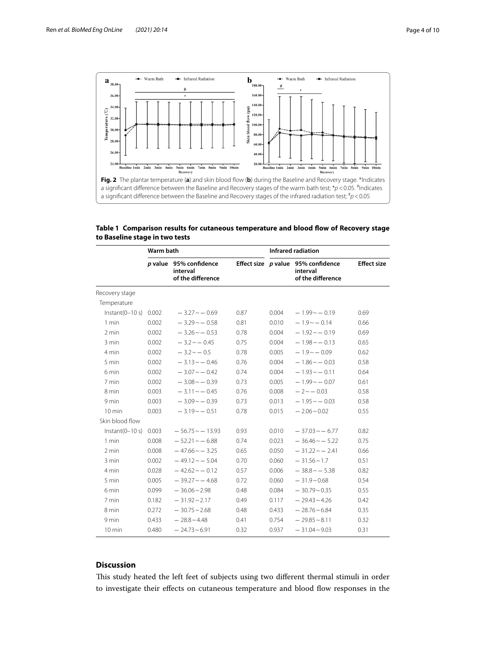

<span id="page-3-1"></span><span id="page-3-0"></span>

|                                | Table 1 Comparison results for cutaneous temperature and blood flow of Recovery stage |  |  |
|--------------------------------|---------------------------------------------------------------------------------------|--|--|
| to Baseline stage in two tests |                                                                                       |  |  |

|                         | Warm bath |                                                         | Infrared radiation |       |                                                                     |                    |
|-------------------------|-----------|---------------------------------------------------------|--------------------|-------|---------------------------------------------------------------------|--------------------|
|                         |           | p value 95% confidence<br>interval<br>of the difference |                    |       | Effect size p value 95% confidence<br>interval<br>of the difference | <b>Effect size</b> |
| Recovery stage          |           |                                                         |                    |       |                                                                     |                    |
| Temperature             |           |                                                         |                    |       |                                                                     |                    |
| $Instant(0-10 s) 0.002$ |           | $-3.27 - 0.69$                                          | 0.87               | 0.004 | $-1.99 - 0.19$                                                      | 0.69               |
| $1$ min                 | 0.002     | $-3.29 - 0.58$                                          | 0.81               | 0.010 | $-1.9 - -0.14$                                                      | 0.66               |
| $2$ min                 | 0.002     | $-3.26 \sim -0.53$                                      | 0.78               | 0.004 | $-1.92 - 0.19$                                                      | 0.69               |
| 3 min                   | 0.002     | $-3.2 \sim -0.45$                                       | 0.75               | 0.004 | $-1.98 - 0.13$                                                      | 0.65               |
| 4 min                   | 0.002     | $-3.2 \sim -0.5$                                        | 0.78               | 0.005 | $-1.9 - -0.09$                                                      | 0.62               |
| 5 min                   | 0.002     | $-3.13 \sim -0.46$                                      | 0.76               | 0.004 | $-1.86 \sim -0.03$                                                  | 0.58               |
| 6 min                   | 0.002     | $-3.07 - 0.42$                                          | 0.74               | 0.004 | $-1.93 \sim -0.11$                                                  | 0.64               |
| 7 min                   | 0.002     | $-3.08 - 0.39$                                          | 0.73               | 0.005 | $-1.99 - 0.07$                                                      | 0.61               |
| 8 min                   | 0.003     | $-3.11 \sim -0.45$                                      | 0.76               | 0.008 | $-2 \sim -0.03$                                                     | 0.58               |
| 9 min                   | 0.003     | $-3.09 - 0.39$                                          | 0.73               | 0.013 | $-1.95 - 0.03$                                                      | 0.58               |
| $10 \text{ min}$        | 0.003     | $-3.19 - -0.51$                                         | 0.78               | 0.015 | $-2.06 - 0.02$                                                      | 0.55               |
| Skin blood flow         |           |                                                         |                    |       |                                                                     |                    |
| $Instant(0-10 s) 0.003$ |           | $-56.75 \sim -13.93$                                    | 0.93               | 0.010 | $-37.03 - 6.77$                                                     | 0.82               |
| 1 min                   | 0.008     | $-52.21 \sim -6.88$                                     | 0.74               | 0.023 | $-36.46 \sim -5.22$                                                 | 0.75               |
| 2 min                   | 0.008     | $-47.66 \sim -3.25$                                     | 0.65               | 0.050 | $-31.22 \sim -2.41$                                                 | 0.66               |
| 3 min                   | 0.002     | $-49.12 \sim -5.04$                                     | 0.70               | 0.060 | $-31.56 \sim 1.7$                                                   | 0.51               |
| 4 min                   | 0.028     | $-42.62 \sim -0.12$                                     | 0.57               | 0.006 | $-38.8 \sim -5.38$                                                  | 0.82               |
| 5 min                   | 0.005     | $-39.27 - 4.68$                                         | 0.72               | 0.060 | $-31.9 - 0.68$                                                      | 0.54               |
| 6 min                   | 0.099     | $-36.06 \sim 2.98$                                      | 0.48               | 0.084 | $-30.79 - 0.35$                                                     | 0.55               |
| 7 min                   | 0.182     | $-31.92 \approx 2.17$                                   | 0.49               | 0.117 | $-29.43 \sim 4.26$                                                  | 0.42               |
| 8 min                   | 0.272     | $-30.75 \approx 2.68$                                   | 0.48               | 0.433 | $-28.76 - 6.84$                                                     | 0.35               |
| 9 min                   | 0.433     | $-28.8 - 4.48$                                          | 0.41               | 0.754 | $-29.85 - 8.11$                                                     | 0.32               |
| $10 \text{ min}$        | 0.480     | $-24.73 - 6.91$                                         | 0.32               | 0.937 | $-31.04 \sim 9.03$                                                  | 0.31               |

## **Discussion**

This study heated the left feet of subjects using two different thermal stimuli in order to investigate their efects on cutaneous temperature and blood fow responses in the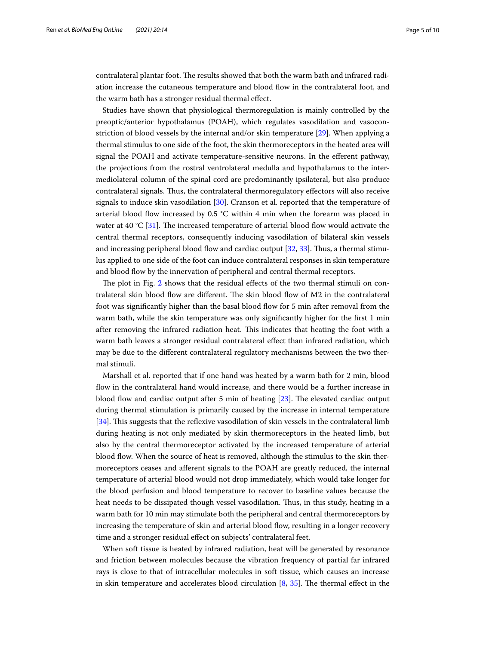contralateral plantar foot. The results showed that both the warm bath and infrared radiation increase the cutaneous temperature and blood fow in the contralateral foot, and the warm bath has a stronger residual thermal efect.

Studies have shown that physiological thermoregulation is mainly controlled by the preoptic/anterior hypothalamus (POAH), which regulates vasodilation and vasoconstriction of blood vessels by the internal and/or skin temperature [[29\]](#page-9-0). When applying a thermal stimulus to one side of the foot, the skin thermoreceptors in the heated area will signal the POAH and activate temperature-sensitive neurons. In the eferent pathway, the projections from the rostral ventrolateral medulla and hypothalamus to the intermediolateral column of the spinal cord are predominantly ipsilateral, but also produce contralateral signals. Tus, the contralateral thermoregulatory efectors will also receive signals to induce skin vasodilation [[30\]](#page-9-1). Cranson et al. reported that the temperature of arterial blood flow increased by 0.5  $\degree$ C within 4 min when the forearm was placed in water at 40 °C [[31](#page-9-2)]. The increased temperature of arterial blood flow would activate the central thermal receptors, consequently inducing vasodilation of bilateral skin vessels and increasing peripheral blood fow and cardiac output [[32](#page-9-3), [33\]](#page-9-4). Tus, a thermal stimulus applied to one side of the foot can induce contralateral responses in skin temperature and blood flow by the innervation of peripheral and central thermal receptors.

The plot in Fig. [2](#page-3-0) shows that the residual effects of the two thermal stimuli on contralateral skin blood flow are different. The skin blood flow of M2 in the contralateral foot was signifcantly higher than the basal blood fow for 5 min after removal from the warm bath, while the skin temperature was only signifcantly higher for the frst 1 min after removing the infrared radiation heat. This indicates that heating the foot with a warm bath leaves a stronger residual contralateral efect than infrared radiation, which may be due to the diferent contralateral regulatory mechanisms between the two thermal stimuli.

Marshall et al. reported that if one hand was heated by a warm bath for 2 min, blood fow in the contralateral hand would increase, and there would be a further increase in blood flow and cardiac output after 5 min of heating  $[23]$  $[23]$ . The elevated cardiac output during thermal stimulation is primarily caused by the increase in internal temperature [[34\]](#page-9-5). This suggests that the reflexive vasodilation of skin vessels in the contralateral limb during heating is not only mediated by skin thermoreceptors in the heated limb, but also by the central thermoreceptor activated by the increased temperature of arterial blood fow. When the source of heat is removed, although the stimulus to the skin thermoreceptors ceases and aferent signals to the POAH are greatly reduced, the internal temperature of arterial blood would not drop immediately, which would take longer for the blood perfusion and blood temperature to recover to baseline values because the heat needs to be dissipated though vessel vasodilation. Thus, in this study, heating in a warm bath for 10 min may stimulate both the peripheral and central thermoreceptors by increasing the temperature of skin and arterial blood fow, resulting in a longer recovery time and a stronger residual effect on subjects' contralateral feet.

When soft tissue is heated by infrared radiation, heat will be generated by resonance and friction between molecules because the vibration frequency of partial far infrared rays is close to that of intracellular molecules in soft tissue, which causes an increase in skin temperature and accelerates blood circulation  $[8, 35]$  $[8, 35]$  $[8, 35]$  $[8, 35]$ . The thermal effect in the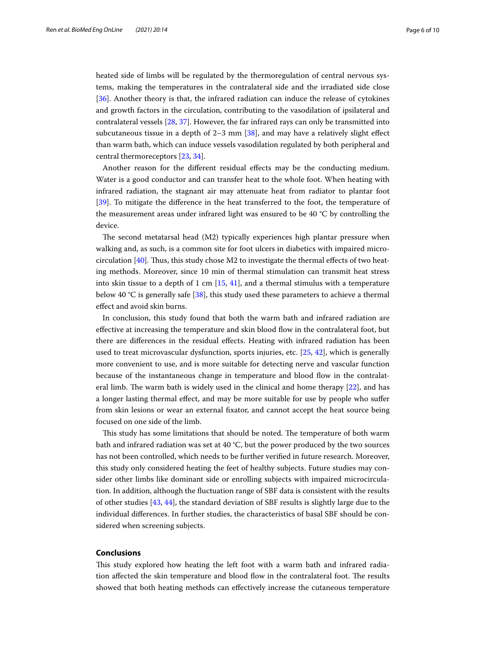heated side of limbs will be regulated by the thermoregulation of central nervous systems, making the temperatures in the contralateral side and the irradiated side close [[36\]](#page-9-7). Another theory is that, the infrared radiation can induce the release of cytokines and growth factors in the circulation, contributing to the vasodilation of ipsilateral and contralateral vessels [\[28,](#page-8-26) [37](#page-9-8)]. However, the far infrared rays can only be transmitted into subcutaneous tissue in a depth of  $2-3$  mm  $[38]$  $[38]$ , and may have a relatively slight effect than warm bath, which can induce vessels vasodilation regulated by both peripheral and central thermoreceptors [\[23](#page-8-20), [34](#page-9-5)].

Another reason for the diferent residual efects may be the conducting medium. Water is a good conductor and can transfer heat to the whole foot. When heating with infrared radiation, the stagnant air may attenuate heat from radiator to plantar foot [[39\]](#page-9-10). To mitigate the diference in the heat transferred to the foot, the temperature of the measurement areas under infrared light was ensured to be 40 °C by controlling the device.

The second metatarsal head  $(M2)$  typically experiences high plantar pressure when walking and, as such, is a common site for foot ulcers in diabetics with impaired microcirculation  $[40]$  $[40]$ . Thus, this study chose M2 to investigate the thermal effects of two heating methods. Moreover, since 10 min of thermal stimulation can transmit heat stress into skin tissue to a depth of 1 cm  $[15, 41]$  $[15, 41]$  $[15, 41]$  $[15, 41]$ , and a thermal stimulus with a temperature below 40 °C is generally safe [\[38](#page-9-9)], this study used these parameters to achieve a thermal efect and avoid skin burns.

In conclusion, this study found that both the warm bath and infrared radiation are efective at increasing the temperature and skin blood fow in the contralateral foot, but there are diferences in the residual efects. Heating with infrared radiation has been used to treat microvascular dysfunction, sports injuries, etc. [\[25,](#page-8-23) [42\]](#page-9-13), which is generally more convenient to use, and is more suitable for detecting nerve and vascular function because of the instantaneous change in temperature and blood fow in the contralateral limb. The warm bath is widely used in the clinical and home therapy  $[22]$  $[22]$ , and has a longer lasting thermal efect, and may be more suitable for use by people who sufer from skin lesions or wear an external fxator, and cannot accept the heat source being focused on one side of the limb.

This study has some limitations that should be noted. The temperature of both warm bath and infrared radiation was set at 40 °C, but the power produced by the two sources has not been controlled, which needs to be further verifed in future research. Moreover, this study only considered heating the feet of healthy subjects. Future studies may consider other limbs like dominant side or enrolling subjects with impaired microcirculation. In addition, although the fuctuation range of SBF data is consistent with the results of other studies [\[43,](#page-9-14) [44](#page-9-15)], the standard deviation of SBF results is slightly large due to the individual diferences. In further studies, the characteristics of basal SBF should be considered when screening subjects.

## **Conclusions**

This study explored how heating the left foot with a warm bath and infrared radiation affected the skin temperature and blood flow in the contralateral foot. The results showed that both heating methods can efectively increase the cutaneous temperature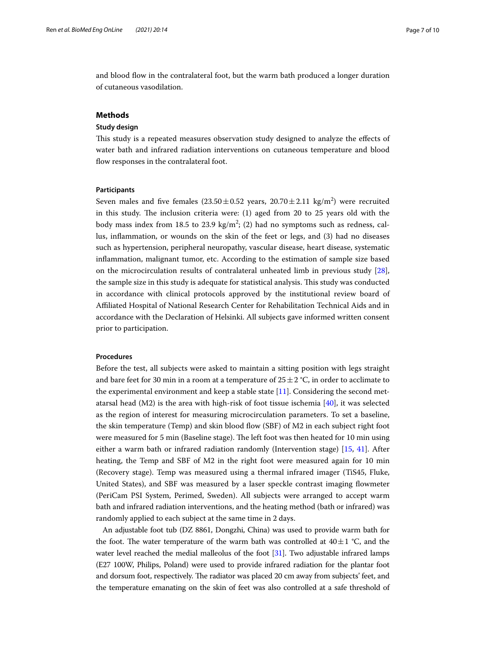and blood fow in the contralateral foot, but the warm bath produced a longer duration of cutaneous vasodilation.

## **Methods**

## **Study design**

Tis study is a repeated measures observation study designed to analyze the efects of water bath and infrared radiation interventions on cutaneous temperature and blood flow responses in the contralateral foot.

## **Participants**

Seven males and five females  $(23.50 \pm 0.52 \text{ years}, 20.70 \pm 2.11 \text{ kg/m}^2)$  were recruited in this study. The inclusion criteria were:  $(1)$  aged from 20 to 25 years old with the body mass index from 18.5 to 23.9  $\text{kg/m}^2$ ; (2) had no symptoms such as redness, callus, infammation, or wounds on the skin of the feet or legs, and (3) had no diseases such as hypertension, peripheral neuropathy, vascular disease, heart disease, systematic infammation, malignant tumor, etc. According to the estimation of sample size based on the microcirculation results of contralateral unheated limb in previous study [\[28](#page-8-26)], the sample size in this study is adequate for statistical analysis. This study was conducted in accordance with clinical protocols approved by the institutional review board of Afliated Hospital of National Research Center for Rehabilitation Technical Aids and in accordance with the Declaration of Helsinki. All subjects gave informed written consent prior to participation.

## **Procedures**

Before the test, all subjects were asked to maintain a sitting position with legs straight and bare feet for 30 min in a room at a temperature of  $25 \pm 2$  °C, in order to acclimate to the experimental environment and keep a stable state [\[11](#page-8-8)]. Considering the second metatarsal head (M2) is the area with high-risk of foot tissue ischemia  $[40]$  $[40]$ , it was selected as the region of interest for measuring microcirculation parameters. To set a baseline, the skin temperature (Temp) and skin blood fow (SBF) of M2 in each subject right foot were measured for 5 min (Baseline stage). The left foot was then heated for 10 min using either a warm bath or infrared radiation randomly (Intervention stage) [[15,](#page-8-12) [41](#page-9-12)]. After heating, the Temp and SBF of M2 in the right foot were measured again for 10 min (Recovery stage). Temp was measured using a thermal infrared imager (TiS45, Fluke, United States), and SBF was measured by a laser speckle contrast imaging fowmeter (PeriCam PSI System, Perimed, Sweden). All subjects were arranged to accept warm bath and infrared radiation interventions, and the heating method (bath or infrared) was randomly applied to each subject at the same time in 2 days.

An adjustable foot tub (DZ 8861, Dongzhi, China) was used to provide warm bath for the foot. The water temperature of the warm bath was controlled at  $40 \pm 1$  °C, and the water level reached the medial malleolus of the foot [[31](#page-9-2)]. Two adjustable infrared lamps (E27 100W, Philips, Poland) were used to provide infrared radiation for the plantar foot and dorsum foot, respectively. The radiator was placed 20 cm away from subjects' feet, and the temperature emanating on the skin of feet was also controlled at a safe threshold of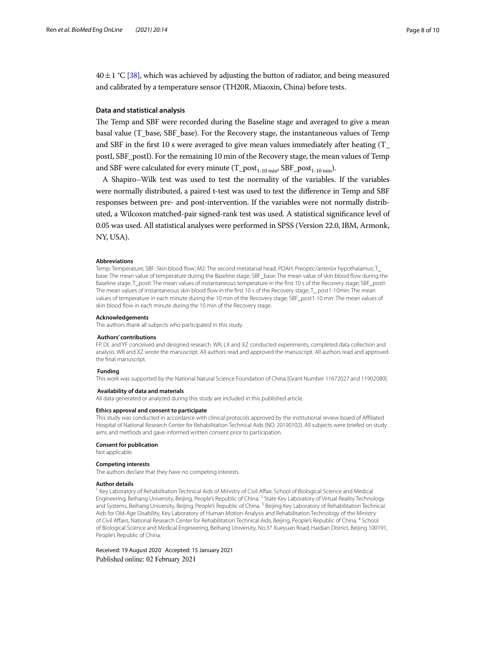$40 \pm 1$  °C [[38](#page-9-9)], which was achieved by adjusting the button of radiator, and being measured and calibrated by a temperature sensor (TH20R, Miaoxin, China) before tests.

## **Data and statistical analysis**

The Temp and SBF were recorded during the Baseline stage and averaged to give a mean basal value (T\_base, SBF\_base). For the Recovery stage, the instantaneous values of Temp and SBF in the frst 10 s were averaged to give mean values immediately after heating (T\_ postI, SBF\_postI). For the remaining 10 min of the Recovery stage, the mean values of Temp and SBF were calculated for every minute  $(T\_post_{1-10 \text{ min}}, SBF\_post_{1-10 \text{ min}}).$ 

A Shapiro–Wilk test was used to test the normality of the variables. If the variables were normally distributed, a paired t-test was used to test the diference in Temp and SBF responses between pre- and post-intervention. If the variables were not normally distributed, a Wilcoxon matched-pair signed-rank test was used. A statistical signifcance level of 0.05 was used. All statistical analyses were performed in SPSS (Version 22.0, IBM, Armonk, NY, USA).

#### **Abbreviations**

Temp: Temperature; SBF: Skin blood fow; M2: The second metatarsal head; POAH: Preoptic/anterior hypothalamus; T\_ base: The mean value of temperature during the Baseline stage; SBF\_base: The mean value of skin blood fow during the Baseline stage; T\_postl: The mean values of instantaneous temperature in the first 10 s of the Recovery stage; SBF\_postl: The mean values of instantaneous skin blood flow in the first 10 s of the Recovery stage; T\_ post1-10min: The mean values of temperature in each minute during the 10 min of the Recovery stage; SBF\_post1-10 min: The mean values of skin blood flow in each minute during the 10 min of the Recovery stage.

#### **Acknowledgements**

The authors thank all subjects who participated in this study.

#### **Authors' contributions**

FP, DL and YF conceived and designed research. WR, LX and XZ conducted experiments, completed data collection and analysis. WR and XZ wrote the manuscript. All authors read and approved the manuscript. All authors read and approved the fnal manuscript.

#### **Funding**

This work was supported by the National Natural Science Foundation of China [Grant Number 11672027 and 11902089].

#### **Availability of data and materials**

All data generated or analyzed during this study are included in this published article.

#### **Ethics approval and consent to participate**

This study was conducted in accordance with clinical protocols approved by the institutional review board of Afliated Hospital of National Research Center for Rehabilitation Technical Aids (NO. 20190102). All subjects were briefed on study aims and methods and gave informed written consent prior to participation.

#### **Consent for publication**

Not applicable.

#### **Competing interests**

The authors declare that they have no competing interests.

#### **Author details**

<sup>1</sup> Key Laboratory of Rehabilitation Technical Aids of Ministry of Civil Affair, School of Biological Science and Medical Engineering, Beihang University, Beijing, People's Republic of China. <sup>2</sup> State Key Laboratory of Virtual Reality Technology and Systems, Beihang University, Beijing, People's Republic of China. 3 Beijing Key Laboratory of Rehabilitation Technical Aids for Old-Age Disability, Key Laboratory of Human Motion Analysis and Rehabilitation Technology of the Ministry of Civil Afairs, National Research Center for Rehabilitation Technical Aids, Beijing, People's Republic of China. 4 School of Biological Science and Medical Engineering, Beihang University, No.37 Xueyuan Road, Haidian District, Beijing 100191, People's Republic of China.

Received: 19 August 2020 Accepted: 15 January 2021Published online: 02 February 2021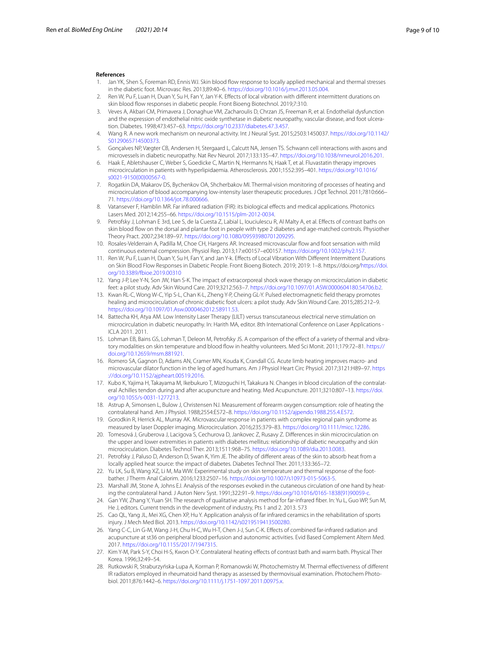#### **References**

- <span id="page-8-0"></span>1. Jan YK, Shen S, Foreman RD, Ennis WJ. Skin blood fow response to locally applied mechanical and thermal stresses in the diabetic foot. Microvasc Res. 2013;89:40–6.<https://doi.org/10.1016/j.mvr.2013.05.004>.
- <span id="page-8-1"></span>Ren W, Pu F, Luan H, Duan Y, Su H, Fan Y, Jan Y-K. Effects of local vibration with different intermittent durations on skin blood flow responses in diabetic people. Front Bioeng Biotechnol. 2019;7:310.
- <span id="page-8-2"></span>3. Veves A, Akbari CM, Primavera J, Donaghue VM, Zacharoulis D, Chrzan JS, Freeman R, et al. Endothelial dysfunction and the expression of endothelial nitric oxide synthetase in diabetic neuropathy, vascular disease, and foot ulceration. Diabetes. 1998;473:457–63. <https://doi.org/10.2337/diabetes.47.3.457>.
- 4. Wang R. A new work mechanism on neuronal activity. Int J Neural Syst. 2015;2503:1450037. [https://doi.org/10.1142/](https://doi.org/10.1142/S0129065714500373) [S0129065714500373.](https://doi.org/10.1142/S0129065714500373)
- <span id="page-8-3"></span>5. Gonçalves NP, Vægter CB, Andersen H, Stergaard L, Calcutt NA, Jensen TS. Schwann cell interactions with axons and microvessels in diabetic neuropathy. Nat Rev Neurol. 2017;133:135–47.<https://doi.org/10.1038/nrneurol.2016.201>.
- <span id="page-8-4"></span>Haak E, Abletshauser C, Weber S, Goedicke C, Martin N, Hermanns N, Haak T, et al. Fluvastatin therapy improves microcirculation in patients with hyperlipidaemia. Atherosclerosis. 2001;1552:395–401. [https://doi.org/10.1016/](https://doi.org/10.1016/s0021-9150(00)00567-0) [s0021-9150\(00\)00567-0](https://doi.org/10.1016/s0021-9150(00)00567-0).
- <span id="page-8-5"></span>7. Rogatkin DA, Makarov DS, Bychenkov OA, Shcherbakov MI. Thermal-vision monitoring of processes of heating and microcirculation of blood accompanying low-intensity laser therapeutic procedures. J Opt Technol. 2011;7810:666– 71. [https://doi.org/10.1364/jot.78.000666.](https://doi.org/10.1364/jot.78.000666)
- <span id="page-8-21"></span>8. Vatansever F, Hamblin MR. Far infrared radiation (FIR): its biological efects and medical applications. Photonics Lasers Med. 2012;14:255–66. <https://doi.org/10.1515/plm-2012-0034>.
- <span id="page-8-6"></span>9. Petrofsky J, Lohman E 3rd, Lee S, de la Cuesta Z, Labial L, Iouciulescu R, Al Malty A, et al. Efects of contrast baths on skin blood fow on the dorsal and plantar foot in people with type 2 diabetes and age-matched controls. Physiother Theory Pract. 2007;234:189–97.<https://doi.org/10.1080/09593980701209295>.
- <span id="page-8-7"></span>10. Rosales-Velderrain A, Padilla M, Choe CH, Hargens AR. Increased microvascular fow and foot sensation with mild continuous external compression. Physiol Rep. 2013;17:e00157–e00157. <https://doi.org/10.1002/phy2.157>.
- <span id="page-8-8"></span>11. Ren W, Pu F, Luan H, Duan Y, Su H, Fan Y, and Jan Y-k. Efects of Local Vibration With Diferent Intermittent Durations on Skin Blood Flow Responses in Diabetic People. Front Bioeng Biotech. 2019; 2019: 1–8. https://doi.org/[https://doi.](https://doi.org/10.3389/fbioe.2019.00310) [org/10.3389/fbioe.2019.00310](https://doi.org/10.3389/fbioe.2019.00310)
- <span id="page-8-9"></span>12. Yang J-P, Lee Y-N, Son JW, Han S-K. The impact of extracorporeal shock wave therapy on microcirculation in diabetic feet: a pilot study. Adv Skin Wound Care. 2019;3212:563–7. [https://doi.org/10.1097/01.ASW.0000604180.54706.b2.](https://doi.org/10.1097/01.ASW.0000604180.54706.b2)
- <span id="page-8-10"></span>13. Kwan RL-C, Wong W-C, Yip S-L, Chan K-L, Zheng Y-P, Cheing GL-Y. Pulsed electromagnetic feld therapy promotes healing and microcirculation of chronic diabetic foot ulcers: a pilot study. Adv Skin Wound Care. 2015;285:212–9. [https://doi.org/10.1097/01.Asw.0000462012.58911.53.](https://doi.org/10.1097/01.Asw.0000462012.58911.53)
- <span id="page-8-11"></span>14. Battecha KH, Atya AM. Low Intensity Laser Therapy (LILT) versus transcutaneous electrical nerve stimulation on microcirculation in diabetic neuropathy. In: Harith MA, editor. 8th International Conference on Laser Applications - ICLA 2011. 2011.
- <span id="page-8-12"></span>15. Lohman EB, Bains GS, Lohman T, Deleon M, Petrofsky JS. A comparison of the efect of a variety of thermal and vibratory modalities on skin temperature and blood fow in healthy volunteers. Med Sci Monit. 2011;179:72–81. [https://](https://doi.org/10.12659/msm.881921) [doi.org/10.12659/msm.881921](https://doi.org/10.12659/msm.881921).
- <span id="page-8-13"></span>16. Romero SA, Gagnon D, Adams AN, Cramer MN, Kouda K, Crandall CG. Acute limb heating improves macro- and microvascular dilator function in the leg of aged humans. Am J Physiol Heart Circ Physiol. 2017;3121:H89–97. [https](https://doi.org/10.1152/ajpheart.00519.2016) [://doi.org/10.1152/ajpheart.00519.2016](https://doi.org/10.1152/ajpheart.00519.2016).
- <span id="page-8-14"></span>17. Kubo K, Yajima H, Takayama M, Ikebukuro T, Mizoguchi H, Takakura N. Changes in blood circulation of the contralateral Achilles tendon during and after acupuncture and heating. Med Acupuncture. 2011;3210:807–13. [https://doi.](https://doi.org/10.1055/s-0031-1277213) [org/10.1055/s-0031-1277213.](https://doi.org/10.1055/s-0031-1277213)
- <span id="page-8-15"></span>18. Astrup A, Simonsen L, Bulow J, Christensen NJ. Measurement of forearm oxygen consumption: role of heating the contralateral hand. Am J Physiol. 1988;2554:E572–8. [https://doi.org/10.1152/ajpendo.1988.255.4.E572.](https://doi.org/10.1152/ajpendo.1988.255.4.E572)
- <span id="page-8-16"></span>19. Gorodkin R, Herrick AL, Murray AK. Microvascular response in patients with complex regional pain syndrome as measured by laser Doppler imaging. Microcirculation. 2016;235:379–83. [https://doi.org/10.1111/micc.12286.](https://doi.org/10.1111/micc.12286)
- <span id="page-8-17"></span>20. Tomesová J, Gruberova J, Lacigova S, Cechurova D, Jankovec Z, Rusavy Z. Diferences in skin microcirculation on the upper and lower extremities in patients with diabetes mellitus: relationship of diabetic neuropathy and skin microcirculation. Diabetes Technol Ther. 2013;1511:968–75.<https://doi.org/10.1089/dia.2013.0083>.
- <span id="page-8-18"></span>21. Petrofsky J, Paluso D, Anderson D, Swan K, Yim JE. The ability of diferent areas of the skin to absorb heat from a locally applied heat source: the impact of diabetes. Diabetes Technol Ther. 2011;133:365–72.
- <span id="page-8-19"></span>22. Yu LK, Su B, Wang XZ, Li M, Ma WW. Experimental study on skin temperature and thermal response of the footbather. J Therm Anal Calorim. 2016;1233:2507–16. [https://doi.org/10.1007/s10973-015-5063-5.](https://doi.org/10.1007/s10973-015-5063-5)
- <span id="page-8-20"></span>23. Marshall JM, Stone A, Johns EJ. Analysis of the responses evoked in the cutaneous circulation of one hand by heating the contralateral hand. J Auton Nerv Syst. 1991;322:91–9. [https://doi.org/10.1016/0165-1838\(91\)90059-c.](https://doi.org/10.1016/0165-1838(91)90059-c)
- <span id="page-8-22"></span>24. Gan YW, Zhang Y, Yuan SH. The research of qualitative analysis method for far-infrared fber. In: Yu L, Guo WP, Sun M, He J, editors. Current trends in the development of industry, Pts 1 and 2. 2013. 573
- <span id="page-8-23"></span>25. Cao QL, Yang JL, Mei XG, Chen XP, Hu Y. Application analysis of far infrared ceramics in the rehabilitation of sports injury. J Mech Med Biol. 2013. [https://doi.org/10.1142/s0219519413500280.](https://doi.org/10.1142/s0219519413500280)
- <span id="page-8-24"></span>26. Yang C-C, Lin G-M, Wang J-H, Chu H-C, Wu H-T, Chen J-J, Sun C-K. Efects of combined far-infrared radiation and acupuncture at st36 on peripheral blood perfusion and autonomic activities. Evid Based Complement Altern Med. 2017. [https://doi.org/10.1155/2017/1947315.](https://doi.org/10.1155/2017/1947315)
- <span id="page-8-25"></span>27. Kim Y-M, Park S-Y, Choi H-S, Kwon O-Y. Contralateral heating efects of contrast bath and warm bath. Physical Ther Korea. 1996;32:49–54.
- <span id="page-8-26"></span>28. Rutkowski R, Straburzyńska-Lupa A, Korman P, Romanowski W, Photochemistry M. Thermal effectiveness of different IR radiators employed in rheumatoid hand therapy as assessed by thermovisual examination. Photochem Photobiol. 2011;876:1442–6.<https://doi.org/10.1111/j.1751-1097.2011.00975.x>.